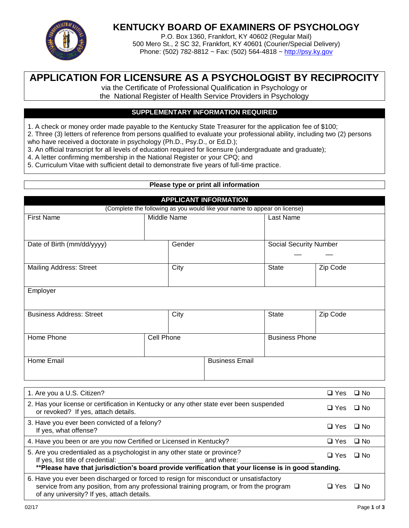

## **KENTUCKY BOARD OF EXAMINERS OF PSYCHOLOGY**

P.O. Box 1360, Frankfort, KY 40602 (Regular Mail) 500 Mero St., 2 SC 32, Frankfort, KY 40601 (Courier/Special Delivery) Phone: (502) 782-8812 ~ Fax: (502) 564-4818 ~ [http://psy.ky.gov](http://psy.ky.gov/)

# **APPLICATION FOR LICENSURE AS A PSYCHOLOGIST BY RECIPROCITY**

via the Certificate of Professional Qualification in Psychology or the National Register of Health Service Providers in Psychology

## **SUPPLEMENTARY INFORMATION REQUIRED**

- 1. A check or money order made payable to the Kentucky State Treasurer for the application fee of \$100;
- 2. Three (3) letters of reference from persons qualified to evaluate your professional ability, including two (2) persons who have received a doctorate in psychology (Ph.D., Psy.D., or Ed.D.);
- 3. An official transcript for all levels of education required for licensure (undergraduate and graduate);
- 4. A letter confirming membership in the National Register or your CPQ; and
- 5. Curriculum Vitae with sufficient detail to demonstrate five years of full-time practice.

#### **Please type or print all information**

### **APPLICANT INFORMATION**

| (Complete the following as you would like your name to appear on license) |             |                       |                        |          |  |
|---------------------------------------------------------------------------|-------------|-----------------------|------------------------|----------|--|
| <b>First Name</b>                                                         | Middle Name |                       | Last Name              |          |  |
| Date of Birth (mm/dd/yyyy)                                                | Gender      |                       | Social Security Number |          |  |
| <b>Mailing Address: Street</b>                                            | City        |                       | <b>State</b>           | Zip Code |  |
| Employer                                                                  |             |                       |                        |          |  |
| <b>Business Address: Street</b>                                           | City        |                       | <b>State</b>           | Zip Code |  |
| Home Phone                                                                | Cell Phone  |                       | <b>Business Phone</b>  |          |  |
| Home Email                                                                |             | <b>Business Email</b> |                        |          |  |

| 1. Are you a U.S. Citizen?                                                                                                                                                                                                    | $\square$ Yes        | □ No |  |  |  |
|-------------------------------------------------------------------------------------------------------------------------------------------------------------------------------------------------------------------------------|----------------------|------|--|--|--|
| 2. Has your license or certification in Kentucky or any other state ever been suspended<br>or revoked? If yes, attach details.                                                                                                | $\square$ Yes        | ⊟ No |  |  |  |
| 3. Have you ever been convicted of a felony?<br>If yes, what offense?                                                                                                                                                         | $\Box$ Yes $\Box$ No |      |  |  |  |
| 4. Have you been or are you now Certified or Licensed in Kentucky?                                                                                                                                                            | $\Box$ Yes $\Box$ No |      |  |  |  |
| 5. Are you credentialed as a psychologist in any other state or province?                                                                                                                                                     | $\Box$ Yes           | ⊟ No |  |  |  |
| **Please have that jurisdiction's board provide verification that your license is in good standing.                                                                                                                           |                      |      |  |  |  |
| 6. Have you ever been discharged or forced to resign for misconduct or unsatisfactory<br>service from any position, from any professional training program, or from the program<br>of any university? If yes, attach details. | $\Box$ Yes           | ⊟ No |  |  |  |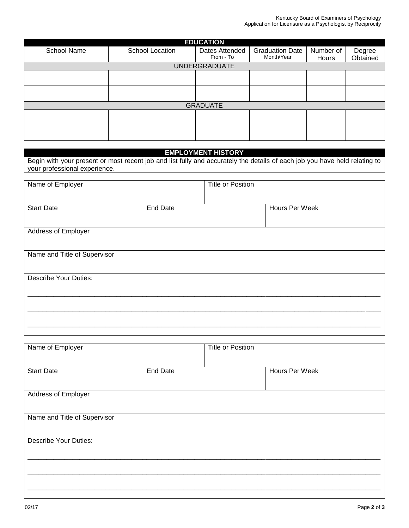| <b>EDUCATION</b> |                      |                |                        |           |          |  |
|------------------|----------------------|----------------|------------------------|-----------|----------|--|
| School Name      | School Location      | Dates Attended | <b>Graduation Date</b> | Number of | Degree   |  |
|                  |                      | From - To      | Month/Year             | Hours     | Obtained |  |
|                  | <b>UNDERGRADUATE</b> |                |                        |           |          |  |
|                  |                      |                |                        |           |          |  |
|                  |                      |                |                        |           |          |  |
|                  |                      |                |                        |           |          |  |
|                  |                      |                |                        |           |          |  |
| <b>GRADUATE</b>  |                      |                |                        |           |          |  |
|                  |                      |                |                        |           |          |  |
|                  |                      |                |                        |           |          |  |
|                  |                      |                |                        |           |          |  |
|                  |                      |                |                        |           |          |  |

#### **EMPLOYMENT HISTORY**

Begin with your present or most recent job and list fully and accurately the details of each job you have held relating to your professional experience.

| Name of Employer             |                 | <b>Title or Position</b> |                |  |
|------------------------------|-----------------|--------------------------|----------------|--|
|                              |                 |                          |                |  |
| <b>Start Date</b>            | <b>End Date</b> |                          | Hours Per Week |  |
|                              |                 |                          |                |  |
| Address of Employer          |                 |                          |                |  |
|                              |                 |                          |                |  |
| Name and Title of Supervisor |                 |                          |                |  |
|                              |                 |                          |                |  |
| <b>Describe Your Duties:</b> |                 |                          |                |  |
|                              |                 |                          |                |  |
|                              |                 |                          |                |  |
|                              |                 |                          |                |  |
|                              |                 |                          |                |  |

| <b>Title or Position</b> |                |
|--------------------------|----------------|
|                          |                |
|                          | Hours Per Week |
|                          |                |
|                          |                |
|                          |                |
|                          |                |
|                          |                |
|                          |                |
|                          |                |
|                          |                |
|                          |                |
|                          |                |
| <b>End Date</b>          |                |